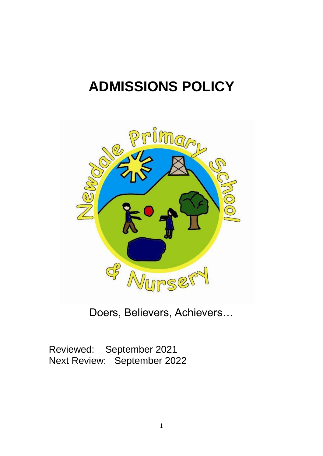# **ADMISSIONS POLICY**



Doers, Believers, Achievers…

Reviewed: September 2021<br>Next Review: September 202 September 2022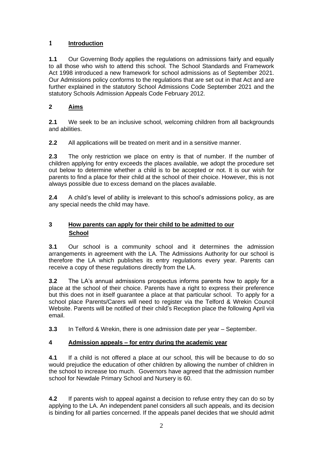## **1 Introduction**

**1.1** Our Governing Body applies the regulations on admissions fairly and equally to all those who wish to attend this school. The School Standards and Framework Act 1998 introduced a new framework for school admissions as of September 2021. Our Admissions policy conforms to the regulations that are set out in that Act and are further explained in the statutory School Admissions Code September 2021 and the statutory Schools Admission Appeals Code February 2012.

# **2 Aims**

**2.1** We seek to be an inclusive school, welcoming children from all backgrounds and abilities.

**2.2** All applications will be treated on merit and in a sensitive manner.

**2.3** The only restriction we place on entry is that of number. If the number of children applying for entry exceeds the places available, we adopt the procedure set out below to determine whether a child is to be accepted or not. It is our wish for parents to find a place for their child at the school of their choice. However, this is not always possible due to excess demand on the places available.

**2.4** A child's level of ability is irrelevant to this school's admissions policy, as are any special needs the child may have.

# **3 How parents can apply for their child to be admitted to our School**

**3.1** Our school is a community school and it determines the admission arrangements in agreement with the LA. The Admissions Authority for our school is therefore the LA which publishes its entry regulations every year. Parents can receive a copy of these regulations directly from the LA.

**3.2** The LA's annual admissions prospectus informs parents how to apply for a place at the school of their choice. Parents have a right to express their preference but this does not in itself guarantee a place at that particular school. To apply for a school place Parents/Carers will need to register via the Telford & Wrekin Council Website. Parents will be notified of their child's Reception place the following April via email.

**3.3** In Telford & Wrekin, there is one admission date per year – September.

## **4 Admission appeals – for entry during the academic year**

**4.1** If a child is not offered a place at our school, this will be because to do so would prejudice the education of other children by allowing the number of children in the school to increase too much. Governors have agreed that the admission number school for Newdale Primary School and Nursery is 60.

**4.2** If parents wish to appeal against a decision to refuse entry they can do so by applying to the LA. An independent panel considers all such appeals, and its decision is binding for all parties concerned. If the appeals panel decides that we should admit